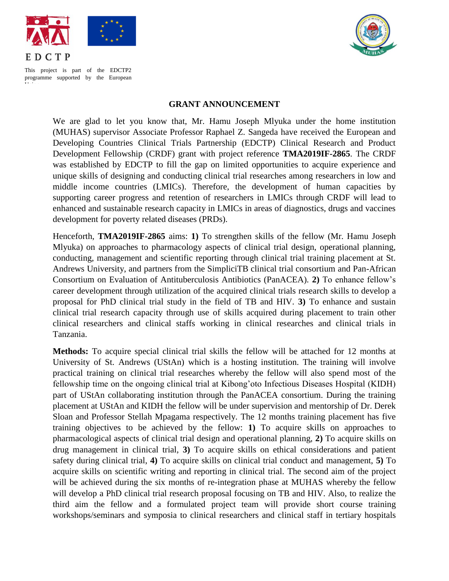



This project is part of the EDCTP2 programme supported by the European Union

## **GRANT ANNOUNCEMENT**

We are glad to let you know that, Mr. Hamu Joseph Mlyuka under the home institution (MUHAS) supervisor Associate Professor Raphael Z. Sangeda have received the European and Developing Countries Clinical Trials Partnership (EDCTP) Clinical Research and Product Development Fellowship (CRDF) grant with project reference **TMA2019IF-2865**. The CRDF was established by EDCTP to fill the gap on limited opportunities to acquire experience and unique skills of designing and conducting clinical trial researches among researchers in low and middle income countries (LMICs). Therefore, the development of human capacities by supporting career progress and retention of researchers in LMICs through CRDF will lead to enhanced and sustainable research capacity in LMICs in areas of diagnostics, drugs and vaccines development for poverty related diseases (PRDs).

Henceforth, **TMA2019IF-2865** aims: **1)** To strengthen skills of the fellow (Mr. Hamu Joseph Mlyuka) on approaches to pharmacology aspects of clinical trial design, operational planning, conducting, management and scientific reporting through clinical trial training placement at St. Andrews University, and partners from the SimpliciTB clinical trial consortium and Pan-African Consortium on Evaluation of Antituberculosis Antibiotics (PanACEA). **2)** To enhance fellow's career development through utilization of the acquired clinical trials research skills to develop a proposal for PhD clinical trial study in the field of TB and HIV. **3)** To enhance and sustain clinical trial research capacity through use of skills acquired during placement to train other clinical researchers and clinical staffs working in clinical researches and clinical trials in Tanzania.

**Methods:** To acquire special clinical trial skills the fellow will be attached for 12 months at University of St. Andrews (UStAn) which is a hosting institution. The training will involve practical training on clinical trial researches whereby the fellow will also spend most of the fellowship time on the ongoing clinical trial at Kibong'oto Infectious Diseases Hospital (KIDH) part of UStAn collaborating institution through the PanACEA consortium. During the training placement at UStAn and KIDH the fellow will be under supervision and mentorship of Dr. Derek Sloan and Professor Stellah Mpagama respectively. The 12 months training placement has five training objectives to be achieved by the fellow: **1)** To acquire skills on approaches to pharmacological aspects of clinical trial design and operational planning, **2)** To acquire skills on drug management in clinical trial, **3)** To acquire skills on ethical considerations and patient safety during clinical trial, **4)** To acquire skills on clinical trial conduct and management, **5)** To acquire skills on scientific writing and reporting in clinical trial. The second aim of the project will be achieved during the six months of re-integration phase at MUHAS whereby the fellow will develop a PhD clinical trial research proposal focusing on TB and HIV. Also, to realize the third aim the fellow and a formulated project team will provide short course training workshops/seminars and symposia to clinical researchers and clinical staff in tertiary hospitals